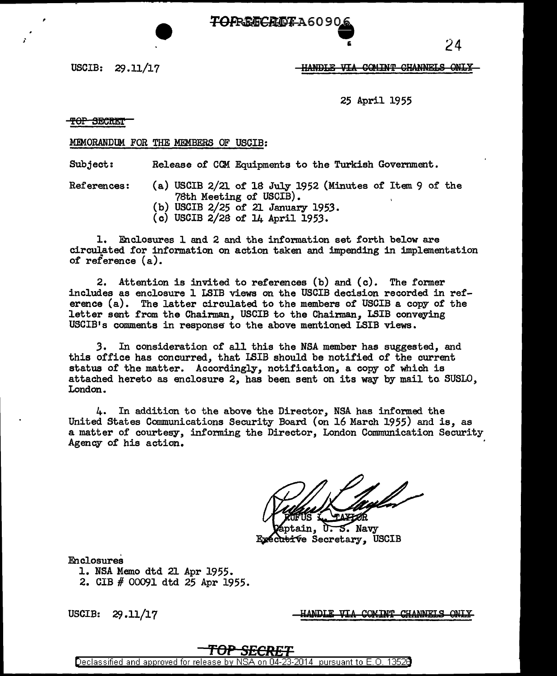

USCIB: 29 .11/17

**-HANDLE VIA COMINT CHANNELS ONLY** 

25 April 1955

# <del>top Secret</del>

,

;

## MEMORANDUM FOR THE MEMBERS OF USCIB:

Subject: Release of CCM Equipments to the Turkish Government.

- References: (a) USCIB 2/21 of 18 July 1952 (Minutes of Item 9 of the 78th Meeting of USCIB).
	- (b) USCIB  $2/25$  of 21 January 1953.
	- (c) USCIB 2/28 of 14 April 1953.

1. Enclosures 1 and 2 and the information set forth below are circulated for information on action taken and impending in implementation of reference (a).

2. Attention is invited to references (b) and (c). The former includes as enclosure 1 LSIB views on the USCIB decision recorded in reference (a). The latter circulated to the members of USCIB a copy of the letter sent from the Chairman, USCIB to the Chainnan, LSIB conveying USCIB1s comments in response to the above mentioned LSIB views.

*3.* In consideration of all this the NSA member has suggested, and this office has concurred, that ISIB should be notified of the current status of the matter. Accordingly, notification, a copy of which is attached hereto as enclosure 2, has been sent on its way by mail to SUSLO, London.

4. In addition to the above the Director, NSA has informed the United States Communications Security Board (on 16 March 1955) and is, as a matter of courtesy, informing the Director, London Communication Security Agency of his action.

ain, ᢗᢛ **S.** Navy Executive Secretary, USCIB

Enclosures

- 1. NSA Memo dtd 21 Apr 1955.
- 2. CIB # 00091 dtd 25 Apr 1955.

USCIB: 29.11/17

<u>ANDLE VIA COMINT CHANNELS</u>

# **'fOP SECRET**

Declassified and approved for release by NSA on 04-23-2014 pursuant to E. 0. 1352B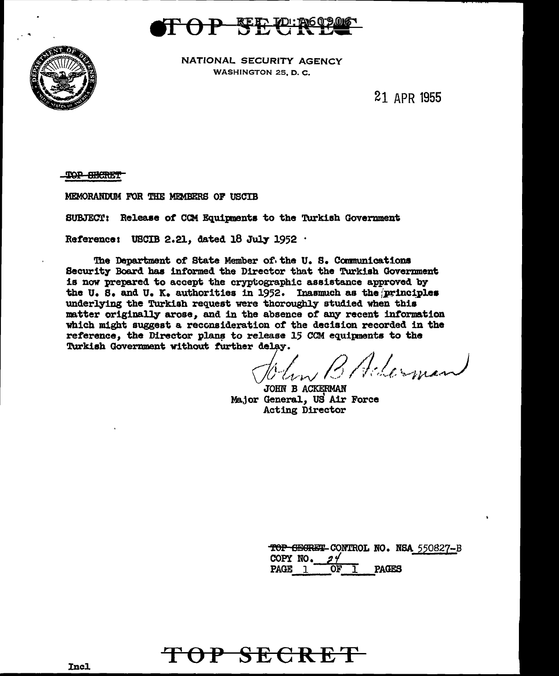



NATIONAL SECURITY AGENCY **WASHINGTON 25, D. C.** 

21 APR 1955

<del>TOP BECRET</del>

MEMORANDUM FOR THE MEMBERS OF USCIB

SUBJECT: Release of CCM Equipments to the Turkish Government

Reference: USCIB 2.21, dated 18 July 1952  $\cdot$ 

The Department of State Member of the U.S. Communications Security Board has informed the Director that the Turkish Government is now prepared to accept the cryptographic assistance approved by the U.S. and U.K. authorities in 1952. Inasmuch as the principles underlying the Turkish request were thoroughly studied when this matter originally arose, and in the absence of any recent information which might suggest a reconsideration of the decision recorded in the reference, the Director plans to release 15 CCM equipments to the Turkish Government without further delay.

lin B Aderman

JOHN B ACKERMAN Major General, US Air Force Acting Director

TOP SECRET CONTROL NO. NSA 550827-B COPY NO.  $24$ **PAGES** PAGE 1 ŌF

TOP SECRET